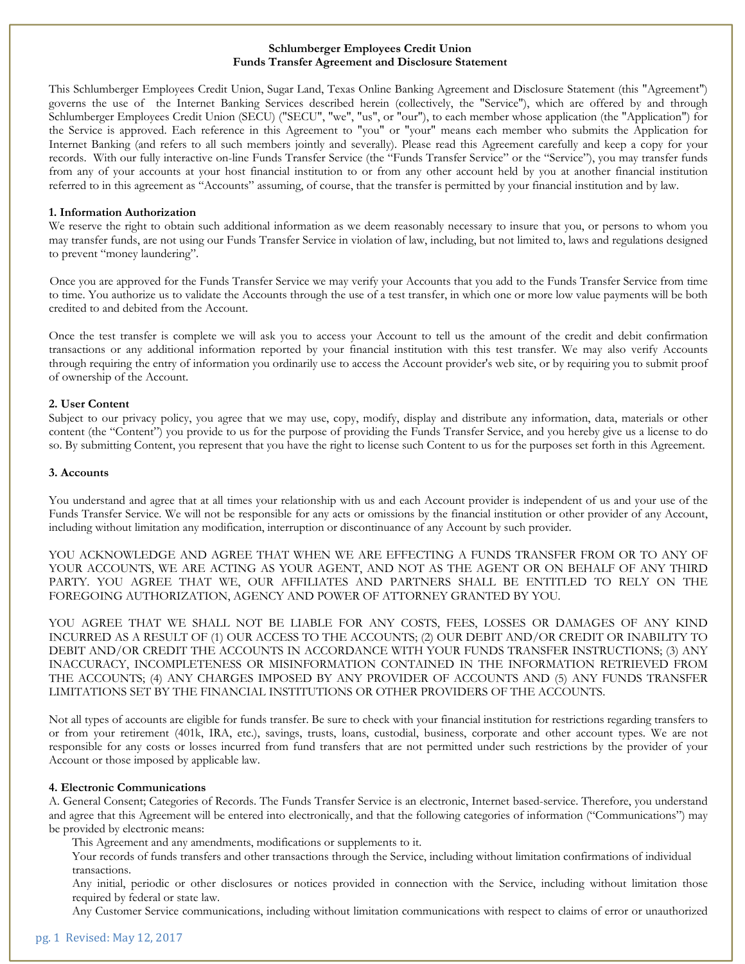# **Schlumberger Employees Credit Union Funds Transfer Agreement and Disclosure Statement**

This Schlumberger Employees Credit Union, Sugar Land, Texas Online Banking Agreement and Disclosure Statement (this "Agreement") governs the use of the Internet Banking Services described herein (collectively, the "Service"), which are offered by and through Schlumberger Employees Credit Union (SECU) ("SECU", "we", "us", or "our"), to each member whose application (the "Application") for the Service is approved. Each reference in this Agreement to "you" or "your" means each member who submits the Application for Internet Banking (and refers to all such members jointly and severally). Please read this Agreement carefully and keep a copy for your records. With our fully interactive on-line Funds Transfer Service (the "Funds Transfer Service" or the "Service"), you may transfer funds from any of your accounts at your host financial institution to or from any other account held by you at another financial institution referred to in this agreement as "Accounts" assuming, of course, that the transfer is permitted by your financial institution and by law.

# **1. Information Authorization**

We reserve the right to obtain such additional information as we deem reasonably necessary to insure that you, or persons to whom you may transfer funds, are not using our Funds Transfer Service in violation of law, including, but not limited to, laws and regulations designed to prevent "money laundering".

Once you are approved for the Funds Transfer Service we may verify your Accounts that you add to the Funds Transfer Service from time to time. You authorize us to validate the Accounts through the use of a test transfer, in which one or more low value payments will be both credited to and debited from the Account.

Once the test transfer is complete we will ask you to access your Account to tell us the amount of the credit and debit confirmation transactions or any additional information reported by your financial institution with this test transfer. We may also verify Accounts through requiring the entry of information you ordinarily use to access the Account provider's web site, or by requiring you to submit proof of ownership of the Account.

# **2. User Content**

Subject to our privacy policy, you agree that we may use, copy, modify, display and distribute any information, data, materials or other content (the "Content") you provide to us for the purpose of providing the Funds Transfer Service, and you hereby give us a license to do so. By submitting Content, you represent that you have the right to license such Content to us for the purposes set forth in this Agreement.

# **3. Accounts**

You understand and agree that at all times your relationship with us and each Account provider is independent of us and your use of the Funds Transfer Service. We will not be responsible for any acts or omissions by the financial institution or other provider of any Account, including without limitation any modification, interruption or discontinuance of any Account by such provider.

YOU ACKNOWLEDGE AND AGREE THAT WHEN WE ARE EFFECTING A FUNDS TRANSFER FROM OR TO ANY OF YOUR ACCOUNTS, WE ARE ACTING AS YOUR AGENT, AND NOT AS THE AGENT OR ON BEHALF OF ANY THIRD PARTY. YOU AGREE THAT WE, OUR AFFILIATES AND PARTNERS SHALL BE ENTITLED TO RELY ON THE FOREGOING AUTHORIZATION, AGENCY AND POWER OF ATTORNEY GRANTED BY YOU.

YOU AGREE THAT WE SHALL NOT BE LIABLE FOR ANY COSTS, FEES, LOSSES OR DAMAGES OF ANY KIND INCURRED AS A RESULT OF (1) OUR ACCESS TO THE ACCOUNTS; (2) OUR DEBIT AND/OR CREDIT OR INABILITY TO DEBIT AND/OR CREDIT THE ACCOUNTS IN ACCORDANCE WITH YOUR FUNDS TRANSFER INSTRUCTIONS; (3) ANY INACCURACY, INCOMPLETENESS OR MISINFORMATION CONTAINED IN THE INFORMATION RETRIEVED FROM THE ACCOUNTS; (4) ANY CHARGES IMPOSED BY ANY PROVIDER OF ACCOUNTS AND (5) ANY FUNDS TRANSFER LIMITATIONS SET BY THE FINANCIAL INSTITUTIONS OR OTHER PROVIDERS OF THE ACCOUNTS.

Not all types of accounts are eligible for funds transfer. Be sure to check with your financial institution for restrictions regarding transfers to or from your retirement (401k, IRA, etc.), savings, trusts, loans, custodial, business, corporate and other account types. We are not responsible for any costs or losses incurred from fund transfers that are not permitted under such restrictions by the provider of your Account or those imposed by applicable law.

### **4. Electronic Communications**

A. General Consent; Categories of Records. The Funds Transfer Service is an electronic, Internet based-service. Therefore, you understand and agree that this Agreement will be entered into electronically, and that the following categories of information ("Communications") may be provided by electronic means:

This Agreement and any amendments, modifications or supplements to it.

Your records of funds transfers and other transactions through the Service, including without limitation confirmations of individual transactions.

Any initial, periodic or other disclosures or notices provided in connection with the Service, including without limitation those required by federal or state law.

Any Customer Service communications, including without limitation communications with respect to claims of error or unauthorized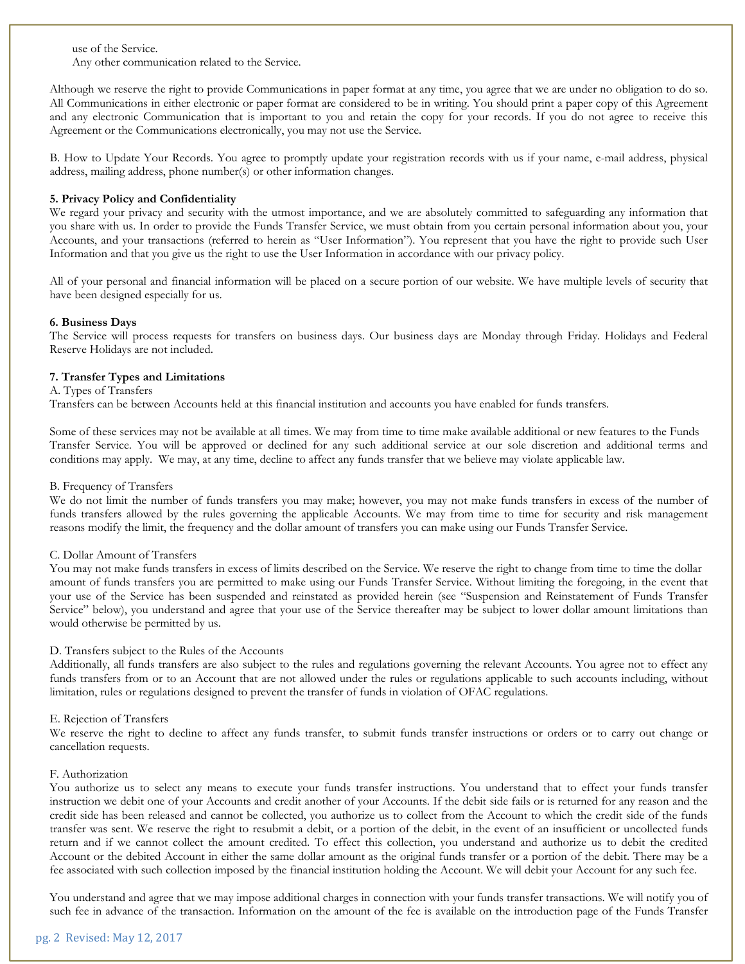use of the Service.

Any other communication related to the Service.

Although we reserve the right to provide Communications in paper format at any time, you agree that we are under no obligation to do so. All Communications in either electronic or paper format are considered to be in writing. You should print a paper copy of this Agreement and any electronic Communication that is important to you and retain the copy for your records. If you do not agree to receive this Agreement or the Communications electronically, you may not use the Service.

B. How to Update Your Records. You agree to promptly update your registration records with us if your name, e-mail address, physical address, mailing address, phone number(s) or other information changes.

# **5. Privacy Policy and Confidentiality**

We regard your privacy and security with the utmost importance, and we are absolutely committed to safeguarding any information that you share with us. In order to provide the Funds Transfer Service, we must obtain from you certain personal information about you, your Accounts, and your transactions (referred to herein as "User Information"). You represent that you have the right to provide such User Information and that you give us the right to use the User Information in accordance with our privacy policy.

All of your personal and financial information will be placed on a secure portion of our website. We have multiple levels of security that have been designed especially for us.

### **6. Business Days**

The Service will process requests for transfers on business days. Our business days are Monday through Friday. Holidays and Federal Reserve Holidays are not included.

### **7. Transfer Types and Limitations**

A. Types of Transfers

Transfers can be between Accounts held at this financial institution and accounts you have enabled for funds transfers.

Some of these services may not be available at all times. We may from time to time make available additional or new features to the Funds Transfer Service. You will be approved or declined for any such additional service at our sole discretion and additional terms and conditions may apply. We may, at any time, decline to affect any funds transfer that we believe may violate applicable law.

### B. Frequency of Transfers

We do not limit the number of funds transfers you may make; however, you may not make funds transfers in excess of the number of funds transfers allowed by the rules governing the applicable Accounts. We may from time to time for security and risk management reasons modify the limit, the frequency and the dollar amount of transfers you can make using our Funds Transfer Service.

### C. Dollar Amount of Transfers

You may not make funds transfers in excess of limits described on the Service. We reserve the right to change from time to time the dollar amount of funds transfers you are permitted to make using our Funds Transfer Service. Without limiting the foregoing, in the event that your use of the Service has been suspended and reinstated as provided herein (see "Suspension and Reinstatement of Funds Transfer Service" below), you understand and agree that your use of the Service thereafter may be subject to lower dollar amount limitations than would otherwise be permitted by us.

### D. Transfers subject to the Rules of the Accounts

Additionally, all funds transfers are also subject to the rules and regulations governing the relevant Accounts. You agree not to effect any funds transfers from or to an Account that are not allowed under the rules or regulations applicable to such accounts including, without limitation, rules or regulations designed to prevent the transfer of funds in violation of OFAC regulations.

### E. Rejection of Transfers

We reserve the right to decline to affect any funds transfer, to submit funds transfer instructions or orders or to carry out change or cancellation requests.

### F. Authorization

You authorize us to select any means to execute your funds transfer instructions. You understand that to effect your funds transfer instruction we debit one of your Accounts and credit another of your Accounts. If the debit side fails or is returned for any reason and the credit side has been released and cannot be collected, you authorize us to collect from the Account to which the credit side of the funds transfer was sent. We reserve the right to resubmit a debit, or a portion of the debit, in the event of an insufficient or uncollected funds return and if we cannot collect the amount credited. To effect this collection, you understand and authorize us to debit the credited Account or the debited Account in either the same dollar amount as the original funds transfer or a portion of the debit. There may be a fee associated with such collection imposed by the financial institution holding the Account. We will debit your Account for any such fee.

You understand and agree that we may impose additional charges in connection with your funds transfer transactions. We will notify you of such fee in advance of the transaction. Information on the amount of the fee is available on the introduction page of the Funds Transfer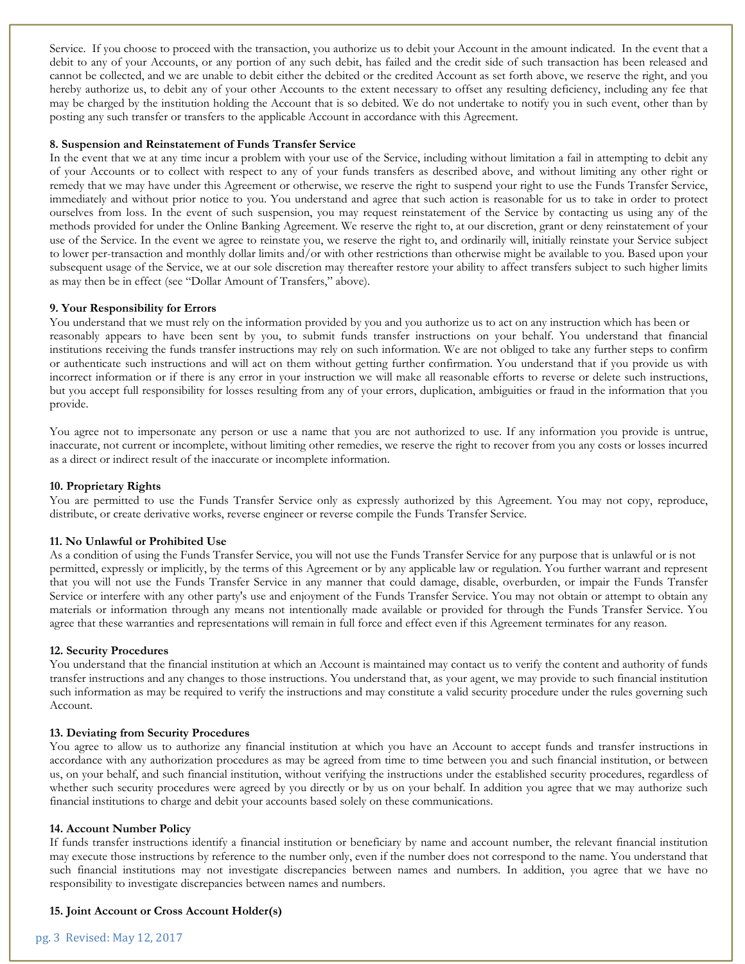Service. If you choose to proceed with the transaction, you authorize us to debit your Account in the amount indicated. In the event that a debit to any of your Accounts, or any portion of any such debit, has failed and the credit side of such transaction has been released and cannot be collected, and we are unable to debit either the debited or the credited Account as set forth above, we reserve the right, and you hereby authorize us, to debit any of your other Accounts to the extent necessary to offset any resulting deficiency, including any fee that may be charged by the institution holding the Account that is so debited. We do not undertake to notify you in such event, other than by posting any such transfer or transfers to the applicable Account in accordance with this Agreement.

#### **8. Suspension and Reinstatement of Funds Transfer Service**

In the event that we at any time incur a problem with your use of the Service, including without limitation a fail in attempting to debit any of your Accounts or to collect with respect to any of your funds transfers as described above, and without limiting any other right or remedy that we may have under this Agreement or otherwise, we reserve the right to suspend your right to use the Funds Transfer Service, immediately and without prior notice to you. You understand and agree that such action is reasonable for us to take in order to protect ourselves from loss. In the event of such suspension, you may request reinstatement of the Service by contacting us using any of the methods provided for under the Online Banking Agreement. We reserve the right to, at our discretion, grant or deny reinstatement of your use of the Service. In the event we agree to reinstate you, we reserve the right to, and ordinarily will, initially reinstate your Service subject to lower per-transaction and monthly dollar limits and/or with other restrictions than otherwise might be available to you. Based upon your subsequent usage of the Service, we at our sole discretion may thereafter restore your ability to affect transfers subject to such higher limits as may then be in effect (see "Dollar Amount of Transfers," above).

### **9. Your Responsibility for Errors**

You understand that we must rely on the information provided by you and you authorize us to act on any instruction which has been or reasonably appears to have been sent by you, to submit funds transfer instructions on your behalf. You understand that financial institutions receiving the funds transfer instructions may rely on such information. We are not obliged to take any further steps to confirm or authenticate such instructions and will act on them without getting further confirmation. You understand that if you provide us with incorrect information or if there is any error in your instruction we will make all reasonable efforts to reverse or delete such instructions, but you accept full responsibility for losses resulting from any of your errors, duplication, ambiguities or fraud in the information that you provide.

You agree not to impersonate any person or use a name that you are not authorized to use. If any information you provide is untrue, inaccurate, not current or incomplete, without limiting other remedies, we reserve the right to recover from you any costs or losses incurred as a direct or indirect result of the inaccurate or incomplete information.

### **10. Proprietary Rights**

You are permitted to use the Funds Transfer Service only as expressly authorized by this Agreement. You may not copy, reproduce, distribute, or create derivative works, reverse engineer or reverse compile the Funds Transfer Service.

### **11. No Unlawful or Prohibited Use**

As a condition of using the Funds Transfer Service, you will not use the Funds Transfer Service for any purpose that is unlawful or is not permitted, expressly or implicitly, by the terms of this Agreement or by any applicable law or regulation. You further warrant and represent that you will not use the Funds Transfer Service in any manner that could damage, disable, overburden, or impair the Funds Transfer Service or interfere with any other party's use and enjoyment of the Funds Transfer Service. You may not obtain or attempt to obtain any materials or information through any means not intentionally made available or provided for through the Funds Transfer Service. You agree that these warranties and representations will remain in full force and effect even if this Agreement terminates for any reason.

### **12. Security Procedures**

You understand that the financial institution at which an Account is maintained may contact us to verify the content and authority of funds transfer instructions and any changes to those instructions. You understand that, as your agent, we may provide to such financial institution such information as may be required to verify the instructions and may constitute a valid security procedure under the rules governing such Account.

### **13. Deviating from Security Procedures**

You agree to allow us to authorize any financial institution at which you have an Account to accept funds and transfer instructions in accordance with any authorization procedures as may be agreed from time to time between you and such financial institution, or between us, on your behalf, and such financial institution, without verifying the instructions under the established security procedures, regardless of whether such security procedures were agreed by you directly or by us on your behalf. In addition you agree that we may authorize such financial institutions to charge and debit your accounts based solely on these communications.

### **14. Account Number Policy**

If funds transfer instructions identify a financial institution or beneficiary by name and account number, the relevant financial institution may execute those instructions by reference to the number only, even if the number does not correspond to the name. You understand that such financial institutions may not investigate discrepancies between names and numbers. In addition, you agree that we have no responsibility to investigate discrepancies between names and numbers.

# **15. Joint Account or Cross Account Holder(s)**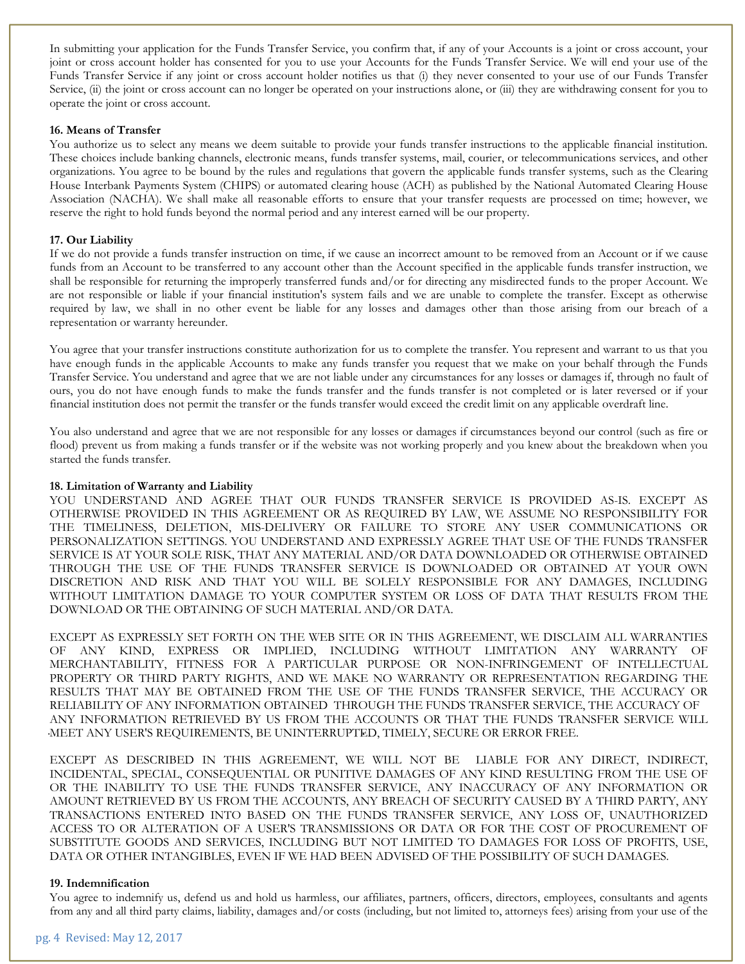In submitting your application for the Funds Transfer Service, you confirm that, if any of your Accounts is a joint or cross account, your joint or cross account holder has consented for you to use your Accounts for the Funds Transfer Service. We will end your use of the Funds Transfer Service if any joint or cross account holder notifies us that (i) they never consented to your use of our Funds Transfer Service, (ii) the joint or cross account can no longer be operated on your instructions alone, or (iii) they are withdrawing consent for you to operate the joint or cross account.

#### **16. Means of Transfer**

You authorize us to select any means we deem suitable to provide your funds transfer instructions to the applicable financial institution. These choices include banking channels, electronic means, funds transfer systems, mail, courier, or telecommunications services, and other organizations. You agree to be bound by the rules and regulations that govern the applicable funds transfer systems, such as the Clearing House Interbank Payments System (CHIPS) or automated clearing house (ACH) as published by the National Automated Clearing House Association (NACHA). We shall make all reasonable efforts to ensure that your transfer requests are processed on time; however, we reserve the right to hold funds beyond the normal period and any interest earned will be our property.

#### **17. Our Liability**

If we do not provide a funds transfer instruction on time, if we cause an incorrect amount to be removed from an Account or if we cause funds from an Account to be transferred to any account other than the Account specified in the applicable funds transfer instruction, we shall be responsible for returning the improperly transferred funds and/or for directing any misdirected funds to the proper Account. We are not responsible or liable if your financial institution's system fails and we are unable to complete the transfer. Except as otherwise required by law, we shall in no other event be liable for any losses and damages other than those arising from our breach of a representation or warranty hereunder.

You agree that your transfer instructions constitute authorization for us to complete the transfer. You represent and warrant to us that you have enough funds in the applicable Accounts to make any funds transfer you request that we make on your behalf through the Funds Transfer Service. You understand and agree that we are not liable under any circumstances for any losses or damages if, through no fault of ours, you do not have enough funds to make the funds transfer and the funds transfer is not completed or is later reversed or if your financial institution does not permit the transfer or the funds transfer would exceed the credit limit on any applicable overdraft line.

You also understand and agree that we are not responsible for any losses or damages if circumstances beyond our control (such as fire or flood) prevent us from making a funds transfer or if the website was not working properly and you knew about the breakdown when you started the funds transfer.

#### **18. Limitation of Warranty and Liability**

YOU UNDERSTAND AND AGREE THAT OUR FUNDS TRANSFER SERVICE IS PROVIDED AS-IS. EXCEPT AS OTHERWISE PROVIDED IN THIS AGREEMENT OR AS REQUIRED BY LAW, WE ASSUME NO RESPONSIBILITY FOR THE TIMELINESS, DELETION, MIS-DELIVERY OR FAILURE TO STORE ANY USER COMMUNICATIONS OR PERSONALIZATION SETTINGS. YOU UNDERSTAND AND EXPRESSLY AGREE THAT USE OF THE FUNDS TRANSFER SERVICE IS AT YOUR SOLE RISK, THAT ANY MATERIAL AND/OR DATA DOWNLOADED OR OTHERWISE OBTAINED THROUGH THE USE OF THE FUNDS TRANSFER SERVICE IS DOWNLOADED OR OBTAINED AT YOUR OWN DISCRETION AND RISK AND THAT YOU WILL BE SOLELY RESPONSIBLE FOR ANY DAMAGES, INCLUDING WITHOUT LIMITATION DAMAGE TO YOUR COMPUTER SYSTEM OR LOSS OF DATA THAT RESULTS FROM THE DOWNLOAD OR THE OBTAINING OF SUCH MATERIAL AND/OR DATA.

EXCEPT AS EXPRESSLY SET FORTH ON THE WEB SITE OR IN THIS AGREEMENT, WE DISCLAIM ALL WARRANTIES OF ANY KIND, EXPRESS OR IMPLIED, INCLUDING WITHOUT LIMITATION ANY WARRANTY OF MERCHANTABILITY, FITNESS FOR A PARTICULAR PURPOSE OR NON-INFRINGEMENT OF INTELLECTUAL PROPERTY OR THIRD PARTY RIGHTS, AND WE MAKE NO WARRANTY OR REPRESENTATION REGARDING THE RESULTS THAT MAY BE OBTAINED FROM THE USE OF THE FUNDS TRANSFER SERVICE, THE ACCURACY OR RELIABILITY OF ANY INFORMATION OBTAINED THROUGH THE FUNDS TRANSFER SERVICE, THE ACCURACY OF ANY INFORMATION RETRIEVED BY US FROM THE ACCOUNTS OR THAT THE FUNDS TRANSFER SERVICE WILL MEET ANY USER'S REQUIREMENTS, BE UNINTERRUPTED, TIMELY, SECURE OR ERROR FREE.

EXCEPT AS DESCRIBED IN THIS AGREEMENT, WE WILL NOT BE LIABLE FOR ANY DIRECT, INDIRECT, INCIDENTAL, SPECIAL, CONSEQUENTIAL OR PUNITIVE DAMAGES OF ANY KIND RESULTING FROM THE USE OF OR THE INABILITY TO USE THE FUNDS TRANSFER SERVICE, ANY INACCURACY OF ANY INFORMATION OR AMOUNT RETRIEVED BY US FROM THE ACCOUNTS, ANY BREACH OF SECURITY CAUSED BY A THIRD PARTY, ANY TRANSACTIONS ENTERED INTO BASED ON THE FUNDS TRANSFER SERVICE, ANY LOSS OF, UNAUTHORIZED ACCESS TO OR ALTERATION OF A USER'S TRANSMISSIONS OR DATA OR FOR THE COST OF PROCUREMENT OF SUBSTITUTE GOODS AND SERVICES, INCLUDING BUT NOT LIMITED TO DAMAGES FOR LOSS OF PROFITS, USE, DATA OR OTHER INTANGIBLES, EVEN IF WE HAD BEEN ADVISED OF THE POSSIBILITY OF SUCH DAMAGES.

#### **19. Indemnification**

You agree to indemnify us, defend us and hold us harmless, our affiliates, partners, officers, directors, employees, consultants and agents from any and all third party claims, liability, damages and/or costs (including, but not limited to, attorneys fees) arising from your use of the